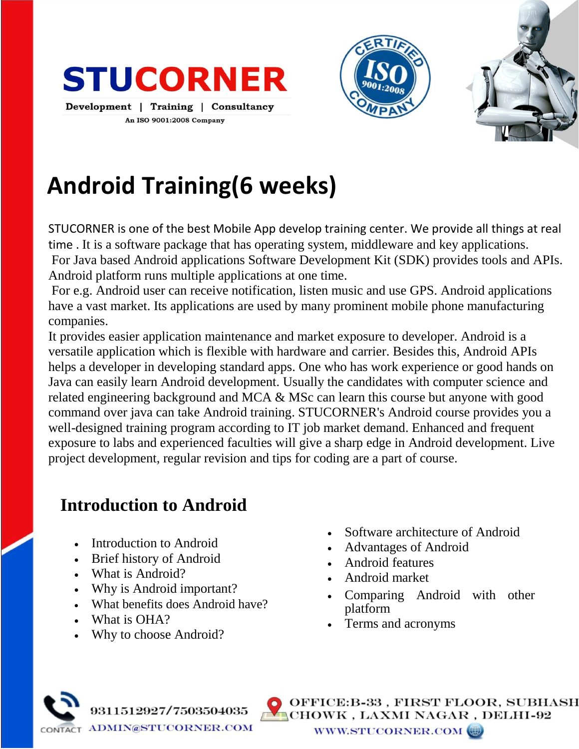





# **Android Training(6 weeks)**

STUCORNER is one of the best Mobile App develop training center. We provide all things at real time . It is a software package that has operating system, middleware and key applications. For Java based Android applications Software Development Kit (SDK) provides tools and APIs. Android platform runs multiple applications at one time.

For e.g. Android user can receive notification, listen music and use GPS. Android applications have a vast market. Its applications are used by many prominent mobile phone manufacturing companies.

It provides easier application maintenance and market exposure to developer. Android is a versatile application which is flexible with hardware and carrier. Besides this, Android APIs helps a developer in developing standard apps. One who has work experience or good hands on Java can easily learn Android development. Usually the candidates with computer science and related engineering background and MCA & MSc can learn this course but anyone with good command over java can take Android training. STUCORNER's Android course provides you a well-designed training program according to IT job market demand. Enhanced and frequent exposure to labs and experienced faculties will give a sharp edge in Android development. Live project development, regular revision and tips for coding are a part of course.

# **Introduction to Android**

- Introduction to Android
- Brief history of Android
- What is Android?
- Why is Android important?
- What benefits does Android have?
- What is OHA?
- Why to choose Android?
- Software architecture of Android
- Advantages of Android
- Android features
- Android market
- Comparing Android with other platform
- Terms and acronyms



ICE:B-33 , FIRST FLOOR, SUBHASH OWK , LAXMI NAGAR , DELHI-92 WWW.STUCORNER.COM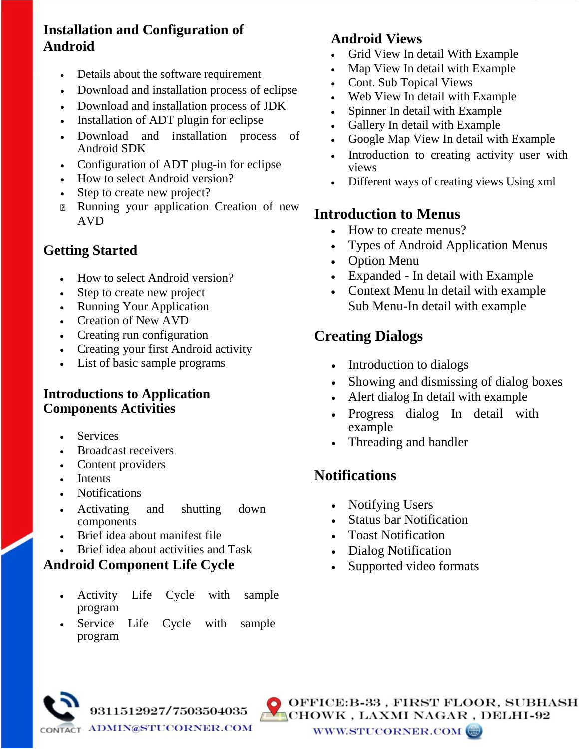#### **Installation and Configuration of Android**

- Details about the software requirement
- Download and installation process of eclipse
- Download and installation process of JDK
- Installation of ADT plugin for eclipse
- Download and installation process of Android SDK
- Configuration of ADT plug-in for eclipse
- How to select Android version?
- Step to create new project?
- **Running your application Creation of new** AVD

#### **Getting Started**

- How to select Android version?
- Step to create new project
- Running Your Application
- Creation of New AVD
- Creating run configuration
- Creating your first Android activity
- List of basic sample programs

#### **Introductions to Application Components Activities**

- **Services**
- Broadcast receivers
- Content providers
- Intents
- Notifications
- Activating and shutting down components
- Brief idea about manifest file
- Brief idea about activities and Task

#### **Android Component Life Cycle**

- Activity Life Cycle with sample program
- Service Life Cycle with sample program

9311512927/7503504035

#### **Android Views**

- Grid View In detail With Example
- Map View In detail with Example
- Cont. Sub Topical Views
- Web View In detail with Example
- Spinner In detail with Example
- Gallery In detail with Example
- Google Map View In detail with Example
- Introduction to creating activity user with views
- Different ways of creating views Using xml

#### **Introduction to Menus**

- How to create menus?
- Types of Android Application Menus
- Option Menu
- Expanded In detail with Example
- Context Menu ln detail with example Sub Menu-In detail with example

## **Creating Dialogs**

- Introduction to dialogs
- Showing and dismissing of dialog boxes
- Alert dialog In detail with example
- Progress dialog In detail with example
- Threading and handler

#### **Notifications**

- Notifying Users
- Status bar Notification
- Toast Notification
- Dialog Notification
- Supported video formats



OFFICE:B-33, FIRST FLOOR, SUBHASH CHOWK, LAXMI NAGAR, DELHI-92 WWW.STUCORNER.COM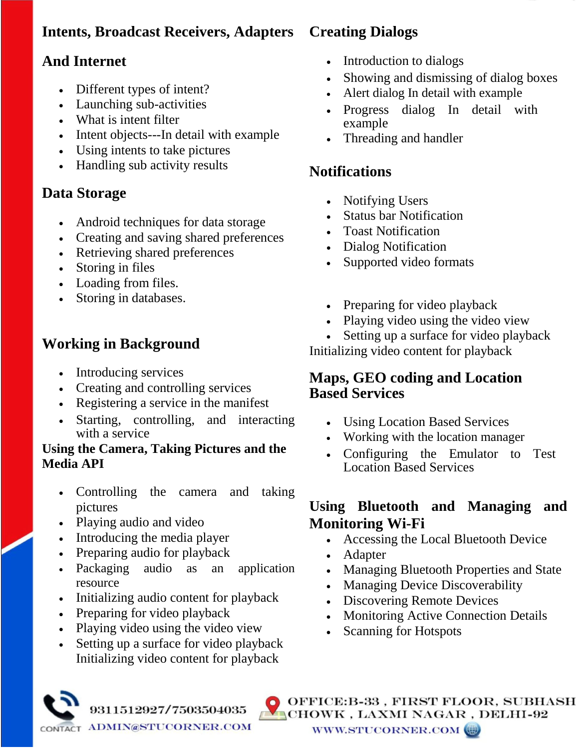# **Intents, Broadcast Receivers, Adapters**

# **And Internet**

- Different types of intent?
- Launching sub-activities
- What is intent filter
- Intent objects---In detail with example
- Using intents to take pictures
- Handling sub activity results

#### **Data Storage**

- Android techniques for data storage
- Creating and saving shared preferences
- Retrieving shared preferences
- Storing in files
- Loading from files.
- Storing in databases.

# **Working in Background**

- Introducing services
- Creating and controlling services
- Registering a service in the manifest
- Starting, controlling, and interacting with a service

#### **Using the Camera, Taking Pictures and the Media API**

- Controlling the camera and taking pictures
- Playing audio and video
- Introducing the media player
- Preparing audio for playback
- Packaging audio as an application resource
- Initializing audio content for playback
- Preparing for video playback
- Playing video using the video view
- Setting up a surface for video playback Initializing video content for playback

9311512927/7503504035

# **Creating Dialogs**

- Introduction to dialogs
- Showing and dismissing of dialog boxes
- Alert dialog In detail with example
- Progress dialog In detail with example
- Threading and handler

# **Notifications**

- Notifying Users
- Status bar Notification
- Toast Notification
- Dialog Notification
- Supported video formats
- Preparing for video playback
- Playing video using the video view
- Setting up a surface for video playback

Initializing video content for playback

#### **Maps, GEO coding and Location Based Services**

- Using Location Based Services
- Working with the location manager
- Configuring the Emulator to Test Location Based Services

#### **Using Bluetooth and Managing and Monitoring Wi-Fi**

- Accessing the Local Bluetooth Device
- Adapter
- Managing Bluetooth Properties and State
- Managing Device Discoverability
- Discovering Remote Devices
- Monitoring Active Connection Details
- Scanning for Hotspots



OFFICE:B-33 , FIRST FLOOR, SUBHASH CHOWK, LAXMI NAGAR, DELHI-92 WWW.STUCORNER.COM